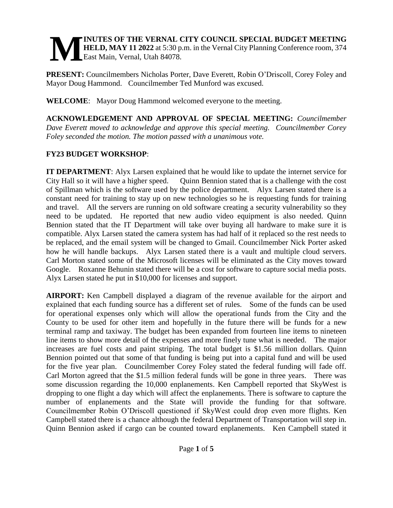#### **INUTES OF THE VERNAL CITY COUNCIL SPECIAL BUDGET MEETING HELD, MAY 11 2022** at 5:30 p.m. in the Vernal City Planning Conference room, 374 East Main, Vernal, Utah 84078. **M**

**PRESENT:** Councilmembers Nicholas Porter, Dave Everett, Robin O'Driscoll, Corey Foley and Mayor Doug Hammond. Councilmember Ted Munford was excused.

**WELCOME**: Mayor Doug Hammond welcomed everyone to the meeting.

**ACKNOWLEDGEMENT AND APPROVAL OF SPECIAL MEETING:** *Councilmember Dave Everett moved to acknowledge and approve this special meeting. Councilmember Corey Foley seconded the motion. The motion passed with a unanimous vote.*

# **FY23 BUDGET WORKSHOP**:

**IT DEPARTMENT**: Alyx Larsen explained that he would like to update the internet service for City Hall so it will have a higher speed. Quinn Bennion stated that is a challenge with the cost of Spillman which is the software used by the police department. Alyx Larsen stated there is a constant need for training to stay up on new technologies so he is requesting funds for training and travel. All the servers are running on old software creating a security vulnerability so they need to be updated. He reported that new audio video equipment is also needed. Quinn Bennion stated that the IT Department will take over buying all hardware to make sure it is compatible. Alyx Larsen stated the camera system has had half of it replaced so the rest needs to be replaced, and the email system will be changed to Gmail. Councilmember Nick Porter asked how he will handle backups. Alyx Larsen stated there is a vault and multiple cloud servers. Carl Morton stated some of the Microsoft licenses will be eliminated as the City moves toward Google. Roxanne Behunin stated there will be a cost for software to capture social media posts. Alyx Larsen stated he put in \$10,000 for licenses and support.

**AIRPORT:** Ken Campbell displayed a diagram of the revenue available for the airport and explained that each funding source has a different set of rules. Some of the funds can be used for operational expenses only which will allow the operational funds from the City and the County to be used for other item and hopefully in the future there will be funds for a new terminal ramp and taxiway. The budget has been expanded from fourteen line items to nineteen line items to show more detail of the expenses and more finely tune what is needed. The major increases are fuel costs and paint striping. The total budget is \$1.56 million dollars. Quinn Bennion pointed out that some of that funding is being put into a capital fund and will be used for the five year plan. Councilmember Corey Foley stated the federal funding will fade off. Carl Morton agreed that the \$1.5 million federal funds will be gone in three years. There was some discussion regarding the 10,000 enplanements. Ken Campbell reported that SkyWest is dropping to one flight a day which will affect the enplanements. There is software to capture the number of enplanements and the State will provide the funding for that software. Councilmember Robin O'Driscoll questioned if SkyWest could drop even more flights. Ken Campbell stated there is a chance although the federal Department of Transportation will step in. Quinn Bennion asked if cargo can be counted toward enplanements. Ken Campbell stated it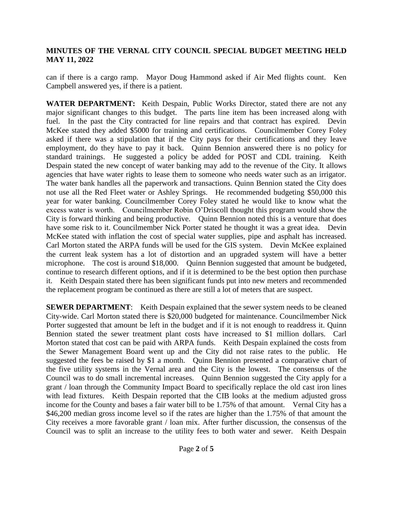can if there is a cargo ramp. Mayor Doug Hammond asked if Air Med flights count. Ken Campbell answered yes, if there is a patient.

**WATER DEPARTMENT:** Keith Despain, Public Works Director, stated there are not any major significant changes to this budget. The parts line item has been increased along with fuel. In the past the City contracted for line repairs and that contract has expired. Devin McKee stated they added \$5000 for training and certifications. Councilmember Corey Foley asked if there was a stipulation that if the City pays for their certifications and they leave employment, do they have to pay it back. Quinn Bennion answered there is no policy for standard trainings. He suggested a policy be added for POST and CDL training. Keith Despain stated the new concept of water banking may add to the revenue of the City. It allows agencies that have water rights to lease them to someone who needs water such as an irrigator. The water bank handles all the paperwork and transactions. Quinn Bennion stated the City does not use all the Red Fleet water or Ashley Springs. He recommended budgeting \$50,000 this year for water banking. Councilmember Corey Foley stated he would like to know what the excess water is worth. Councilmember Robin O'Driscoll thought this program would show the City is forward thinking and being productive. Quinn Bennion noted this is a venture that does have some risk to it. Councilmember Nick Porter stated he thought it was a great idea. Devin McKee stated with inflation the cost of special water supplies, pipe and asphalt has increased. Carl Morton stated the ARPA funds will be used for the GIS system. Devin McKee explained the current leak system has a lot of distortion and an upgraded system will have a better microphone. The cost is around \$18,000. Quinn Bennion suggested that amount be budgeted, continue to research different options, and if it is determined to be the best option then purchase it. Keith Despain stated there has been significant funds put into new meters and recommended the replacement program be continued as there are still a lot of meters that are suspect.

**SEWER DEPARTMENT**: Keith Despain explained that the sewer system needs to be cleaned City-wide. Carl Morton stated there is \$20,000 budgeted for maintenance. Councilmember Nick Porter suggested that amount be left in the budget and if it is not enough to readdress it. Quinn Bennion stated the sewer treatment plant costs have increased to \$1 million dollars. Carl Morton stated that cost can be paid with ARPA funds. Keith Despain explained the costs from the Sewer Management Board went up and the City did not raise rates to the public. He suggested the fees be raised by \$1 a month. Quinn Bennion presented a comparative chart of the five utility systems in the Vernal area and the City is the lowest. The consensus of the Council was to do small incremental increases. Quinn Bennion suggested the City apply for a grant / loan through the Community Impact Board to specifically replace the old cast iron lines with lead fixtures. Keith Despain reported that the CIB looks at the medium adjusted gross income for the County and bases a fair water bill to be 1.75% of that amount. Vernal City has a \$46,200 median gross income level so if the rates are higher than the 1.75% of that amount the City receives a more favorable grant / loan mix. After further discussion, the consensus of the Council was to split an increase to the utility fees to both water and sewer. Keith Despain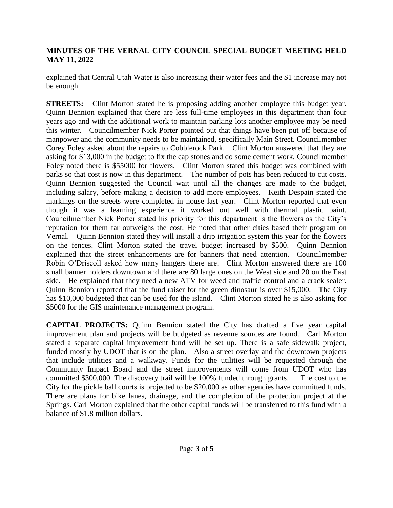explained that Central Utah Water is also increasing their water fees and the \$1 increase may not be enough.

**STREETS:** Clint Morton stated he is proposing adding another employee this budget year. Quinn Bennion explained that there are less full-time employees in this department than four years ago and with the additional work to maintain parking lots another employee may be need this winter. Councilmember Nick Porter pointed out that things have been put off because of manpower and the community needs to be maintained, specifically Main Street. Councilmember Corey Foley asked about the repairs to Cobblerock Park. Clint Morton answered that they are asking for \$13,000 in the budget to fix the cap stones and do some cement work. Councilmember Foley noted there is \$55000 for flowers. Clint Morton stated this budget was combined with parks so that cost is now in this department. The number of pots has been reduced to cut costs. Quinn Bennion suggested the Council wait until all the changes are made to the budget, including salary, before making a decision to add more employees. Keith Despain stated the markings on the streets were completed in house last year. Clint Morton reported that even though it was a learning experience it worked out well with thermal plastic paint. Councilmember Nick Porter stated his priority for this department is the flowers as the City's reputation for them far outweighs the cost. He noted that other cities based their program on Vernal. Quinn Bennion stated they will install a drip irrigation system this year for the flowers on the fences. Clint Morton stated the travel budget increased by \$500. Quinn Bennion explained that the street enhancements are for banners that need attention. Councilmember Robin O'Driscoll asked how many hangers there are. Clint Morton answered there are 100 small banner holders downtown and there are 80 large ones on the West side and 20 on the East side. He explained that they need a new ATV for weed and traffic control and a crack sealer. Quinn Bennion reported that the fund raiser for the green dinosaur is over \$15,000. The City has \$10,000 budgeted that can be used for the island. Clint Morton stated he is also asking for \$5000 for the GIS maintenance management program.

**CAPITAL PROJECTS:** Quinn Bennion stated the City has drafted a five year capital improvement plan and projects will be budgeted as revenue sources are found. Carl Morton stated a separate capital improvement fund will be set up. There is a safe sidewalk project, funded mostly by UDOT that is on the plan. Also a street overlay and the downtown projects that include utilities and a walkway. Funds for the utilities will be requested through the Community Impact Board and the street improvements will come from UDOT who has committed \$300,000. The discovery trail will be 100% funded through grants. The cost to the City for the pickle ball courts is projected to be \$20,000 as other agencies have committed funds. There are plans for bike lanes, drainage, and the completion of the protection project at the Springs. Carl Morton explained that the other capital funds will be transferred to this fund with a balance of \$1.8 million dollars.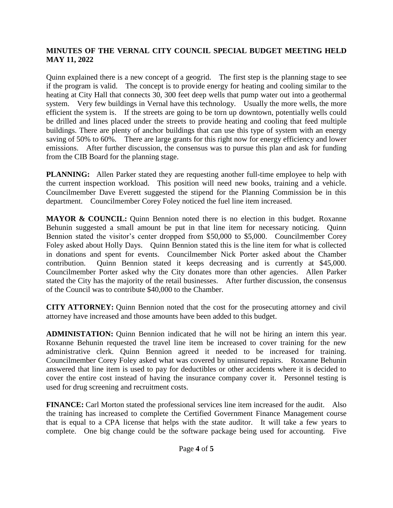Quinn explained there is a new concept of a geogrid. The first step is the planning stage to see if the program is valid. The concept is to provide energy for heating and cooling similar to the heating at City Hall that connects 30, 300 feet deep wells that pump water out into a geothermal system. Very few buildings in Vernal have this technology. Usually the more wells, the more efficient the system is. If the streets are going to be torn up downtown, potentially wells could be drilled and lines placed under the streets to provide heating and cooling that feed multiple buildings. There are plenty of anchor buildings that can use this type of system with an energy saving of 50% to 60%. There are large grants for this right now for energy efficiency and lower emissions. After further discussion, the consensus was to pursue this plan and ask for funding from the CIB Board for the planning stage.

**PLANNING:** Allen Parker stated they are requesting another full-time employee to help with the current inspection workload. This position will need new books, training and a vehicle. Councilmember Dave Everett suggested the stipend for the Planning Commission be in this department. Councilmember Corey Foley noticed the fuel line item increased.

**MAYOR & COUNCIL:** Quinn Bennion noted there is no election in this budget. Roxanne Behunin suggested a small amount be put in that line item for necessary noticing. Quinn Bennion stated the visitor's center dropped from \$50,000 to \$5,000. Councilmember Corey Foley asked about Holly Days. Quinn Bennion stated this is the line item for what is collected in donations and spent for events. Councilmember Nick Porter asked about the Chamber contribution. Quinn Bennion stated it keeps decreasing and is currently at \$45,000. Councilmember Porter asked why the City donates more than other agencies. Allen Parker stated the City has the majority of the retail businesses. After further discussion, the consensus of the Council was to contribute \$40,000 to the Chamber.

**CITY ATTORNEY:** Quinn Bennion noted that the cost for the prosecuting attorney and civil attorney have increased and those amounts have been added to this budget.

**ADMINISTATION:** Quinn Bennion indicated that he will not be hiring an intern this year. Roxanne Behunin requested the travel line item be increased to cover training for the new administrative clerk. Quinn Bennion agreed it needed to be increased for training. Councilmember Corey Foley asked what was covered by uninsured repairs. Roxanne Behunin answered that line item is used to pay for deductibles or other accidents where it is decided to cover the entire cost instead of having the insurance company cover it. Personnel testing is used for drug screening and recruitment costs.

**FINANCE:** Carl Morton stated the professional services line item increased for the audit. Also the training has increased to complete the Certified Government Finance Management course that is equal to a CPA license that helps with the state auditor. It will take a few years to complete. One big change could be the software package being used for accounting. Five